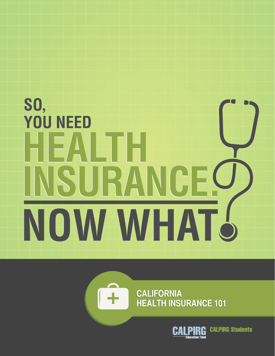# **SO, YOU NEED** 41: ISURANGE NOW WHAT 6



**California California Health insurance 101 Health insurance 101**

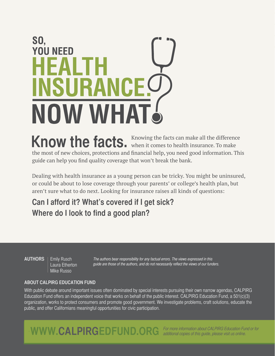# **SO, YOU NEED** IE. **INSURANCE !!** NOW WHAT!

Know the facts. Knowing the facts can make all the difference **Knowing** the facts can make all the difference the most of new choices, protections and financial help, you need good information. This guide can help you find quality coverage that won't break the bank.

Dealing with health insurance as a young person can be tricky. You might be uninsured, or could be about to lose coverage through your parents' or college's health plan, but aren't sure what to do next. Looking for insurance raises all kinds of questions:

**Can I afford it? What's covered if I get sick? Where do I look to find a good plan?**

**AUTHORS** | Emily Rusch Laura Etherton Mike Russo

The authors bear responsibility for any factual errors. The views expressed in this guide are those of the authors, and do not necessarily reflect the views of our funders.

#### **About CALPIRG Education Fund**

With public debate around important issues often dominated by special interests pursuing their own narrow agendas, CALPIRG Education Fund offers an independent voice that works on behalf of the public interest. CALPIRG Education Fund, a 501(c)(3) organization, works to protect consumers and promote good government. We investigate problems, craft solutions, educate the public, and offer Californians meaningful opportunities for civic participation.

WWW.CALPIRGEDFUND.ORG For more information about CALPIRG Education Fund or for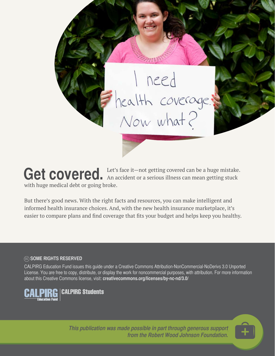

Get covered. An accident or a serious illness can mean getting stuck with huge medical debt or going broke.

But there's good news. With the right facts and resources, you can make intelligent and informed health insurance choices. And, with the new health insurance marketplace, it's easier to compare plans and find coverage that fits your budget and helps keep you healthy.

#### cc **Some Rights Reserved**

CALPIRG Education Fund issues this guide under a Creative Commons Attribution-NonCommercial-NoDerivs 3.0 Unported License. You are free to copy, distribute, or display the work for noncommercial purposes, with attribution. For more information about this Creative Commons license, visit: **creativecommons.org/licenses/by-nc-nd/3.0/**



**This publication was made possible in part through generous support from the Robert Wood Johnson Foundation.**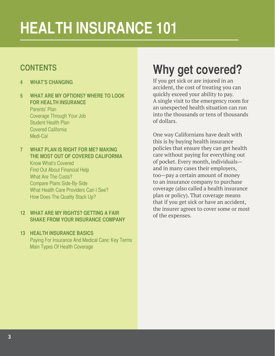# **health insurance 101**

#### **contents**

- **4 What's changing**
- **5 What are my Options? Where to Look FOR HEAI TH INSURANCE** Parents' Plan Coverage Through Your Job Student Health Plan Covered California Medi-Cal
- **7 What Plan is Right for me? Making the Most out of Covered California**

Know What's Covered Find Out About Financial Help What Are The Costs? Compare Plans Side-By-Side What Health Care Providers Can I See? How Does The Quality Stack Up?

#### **12 What are my Rights? Getting a Fair Shake from your Insurance Company**

#### **13 Health Insurance Basics**

Paying For Insurance And Medical Care: Key Terms Main Types Of Health Coverage

### **Why get covered?**

If you get sick or are injured in an accident, the cost of treating you can quickly exceed your ability to pay. A single visit to the emergency room for an unexpected health situation can run into the thousands or tens of thousands of dollars.

One way Californians have dealt with this is by buying health insurance policies that ensure they can get health care without paying for everything out of pocket. Every month, individuals and in many cases their employers, too—pay a certain amount of money to an insurance company to purchase coverage (also called a health insurance plan or policy). That coverage means that if you get sick or have an accident, the insurer agrees to cover some or most of the expenses.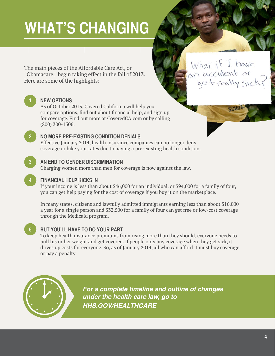### **WHAT'S CHANGING**

The main pieces of the Affordable Care Act, or "Obamacare," begin taking effect in the fall of 2013. Here are some of the highlights:

#### **1 New Options**

As of October 2013, Covered California will help you compare options, find out about financial help, and sign up for coverage. Find out more at CoveredCA.com or by calling (800) 300-1506.

#### **2 No More Pre-Existing Condition Denials**

Effective January 2014, health insurance companies can no longer deny coverage or hike your rates due to having a pre-existing health condition.

#### **3 An End to Gender Discrimination**

Charging women more than men for coverage is now against the law.

#### **4 Financial help kicks in**

If your income is less than about \$46,000 for an individual, or \$94,000 for a family of four, you can get help paying for the cost of coverage if you buy it on the marketplace.

In many states, citizens and lawfully admitted immigrants earning less than about \$16,000 a year for a single person and \$32,500 for a family of four can get free or low-cost coverage through the Medicaid program.

#### **5 But You'll Have to Do Your Part**

To keep health insurance premiums from rising more than they should, everyone needs to pull his or her weight and get covered. If people only buy coverage when they get sick, it drives up costs for everyone. So, as of January 2014, all who can afford it must buy coverage or pay a penalty.



*For a complete timeline and outline of changes under the health care law, go to hhs.gov/healthcare*

*Healthcare.gov*

What if I have<br>an accident or<br>get really sick

**SCHOI**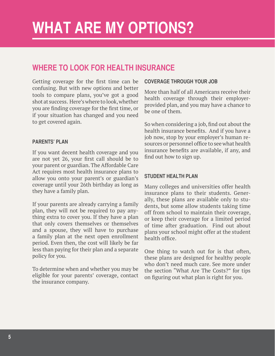### **What are my Options?**

#### **Where to Look for Health Insurance**

Getting coverage for the first time can be confusing. But with new options and better tools to compare plans, you've got a good shot at success. Here's where to look, whether you are finding coverage for the first time, or if your situation has changed and you need to get covered again.

#### **Parents' Plan**

If you want decent health coverage and you are not yet 26, your first call should be to your parent or guardian. The Affordable Care Act requires most health insurance plans to allow you onto your parent's or guardian's coverage until your 26th birthday as long as they have a family plan.

If your parents are already carrying a family plan, they will not be required to pay anything extra to cover you. If they have a plan that only covers themselves or themselves and a spouse, they will have to purchase a family plan at the next open enrollment period. Even then, the cost will likely be far less than paying for their plan and a separate policy for you.

To determine when and whether you may be eligible for your parents' coverage, contact the insurance company.

#### **Coverage Through Your Job**

More than half of all Americans receive their health coverage through their employerprovided plan, and you may have a chance to be one of them.

So when considering a job, find out about the health insurance benefits. And if you have a job now, stop by your employer's human resources or personnel office to see what health insurance benefits are available, if any, and find out how to sign up.

#### **Student Health Plan**

Many colleges and universities offer health insurance plans to their students. Generally, these plans are available only to students, but some allow students taking time off from school to maintain their coverage, or keep their coverage for a limited period of time after graduation. Find out about plans your school might offer at the student health office.

One thing to watch out for is that often, these plans are designed for healthy people who don't need much care. See more under the section "What Are The Costs?" for tips on figuring out what plan is right for you.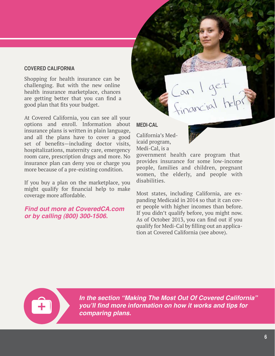#### **Covered california**

Shopping for health insurance can be challenging. But with the new online health insurance marketplace, chances are getting better that you can find a good plan that fits your budget.

At Covered California, you can see all your options and enroll. Information about insurance plans is written in plain language, and all the plans have to cover a good set of benefits—including doctor visits, hospitalizations, maternity care, emergency room care, prescription drugs and more. No insurance plan can deny you or charge you more because of a pre-existing condition.

If you buy a plan on the marketplace, you might qualify for financial help to make coverage more affordable.

#### *Find out more at CoveredCA.com or by calling (800) 300-1506.*



California's Medicaid program, Medi-Cal, is a



Can I get<br>Financial hel

government health care program that provides insurance for some low-income people, families and children, pregnant women, the elderly, and people with disabilities.

Most states, including California, are expanding Medicaid in 2014 so that it can cover people with higher incomes than before. If you didn't qualify before, you might now. As of October 2013, you can find out if you qualify for Medi-Cal by filling out an application at Covered California (see above).



*In the section "Making The Most Out Of Covered California"*  **you'll find more information on how it works and tips for**  *comparing plans.*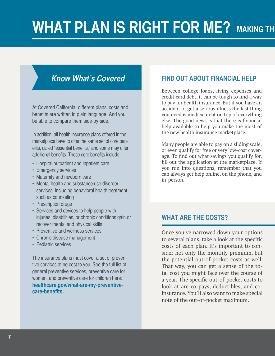### **WHAT PLAN IS RIGHT FOR ME? MAKING TH**

#### **Know What's Covered**

At Covered California, different plans' costs and benefits are written in plain language. And you'll be able to compare them side-by-side.

In addition, all health insurance plans offered in the marketplace have to offer the same set of core benefits, called "essential benefits," and some may offer additional benefits. These core benefits include:

- Hospital outpatient and inpatient care
- Emergency services
- Maternity and newborn care
- Mental health and substance use disorder services, including behavioral health treatment such as counseling
- Prescription drugs
- Services and devices to help people with injuries, disabilities, or chronic conditions gain or recover mental and physical skills
- Preventive and wellness services
- Chronic disease management
- • Pediatric services

The insurance plans must cover a set of preventive services at no cost to you. See the full list of general preventive services, preventive care for women, and preventive care for children here: **healthcare.gov/what-are-my-preventivecare-benefits.**

#### **Find Out About Financial Help**

Between college loans, living expenses and credit card debt, it can be tough to find a way to pay for health insurance. But if you have an accident or get a serious illness the last thing you need is medical debt on top of everything else. The good news is that there is financial help available to help you make the most of the new health insurance marketplace.

Many people are able to pay on a sliding scale, or even qualify for free or very low-cost coverage. To find out what savings you qualify for, fill out the application at the marketplace. If you run into questions, remember that you can always get help online, on the phone, and in-person.

#### **What are the Costs?**

Once you've narrowed down your options to several plans, take a look at the specific costs of each plan. It's important to consider not only the monthly premium, but the potential out-of-pocket costs as well. That way, you can get a sense of the total cost you might face over the course of a year. The specific out-of-pocket costs to look at are co-pays, deductibles, and coinsurance. You'll also want to make special note of the out-of-pocket maximum.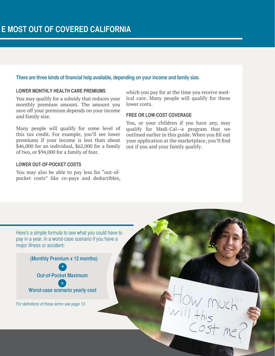#### **There are three kinds of financial help available, depending on your income and family size.**

#### **Lower monthly health care premiums**

You may qualify for a subsidy that reduces your monthly premium amount. The amount you save off your premium depends on your income and family size.

Many people will qualify for some level of this tax credit. For example, you'll see lower premiums if your income is less than about \$46,000 for an individual, \$62,000 for a family of two, or \$94,000 for a family of four.

#### **Lower out-of-pocket costs**

You may also be able to pay less for "out-ofpocket costs" like co-pays and deductibles,

which you pay for at the time you receive medical care. Many people will qualify for these lower costs.

#### **Free or low-cost coverage**

You, or your children if you have any, may qualify for Medi-Cal—a program that we outlined earlier in this guide. When you fill out your application at the marketplace, you'll find out if you and your family qualify.

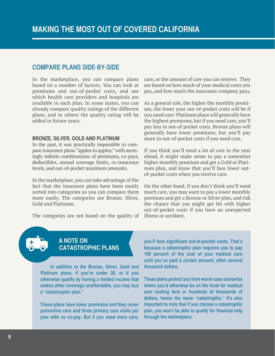#### **Compare Plans Side-by-side**

In the marketplace, you can compare plans based on a number of factors. You can look at premiums and out-of-pocket costs, and see which health care providers and hospitals are available in each plan. In some states, you can already compare quality ratings of the different plans, and in others the quality rating will be added in future years.

#### **Bronze, Silver, Gold and Platinum**

In the past, it was practically impossible to compare insurance plans "apples to apples," with seemingly infinite combinations of premiums, co-pays, deductibles, annual coverage limits, co-insurance levels, and out-of-pocket maximum amounts.

In the marketplace, you can take advantage of the fact that the insurance plans have been neatly sorted into categories so you can compare them more easily. The categories are Bronze, Silver, Gold and Platinum.

The categories are not based on the quality of illness or accident.

care, or the amount of care you can receive. They are based on how much of your medical costs you pay, and how much the insurance company pays.

As a general rule, the higher the monthly premium, the lower your out-of-pocket costs will be if you need care: Platinum plans will generally have the highest premiums, but if you need care, you'll pay less in out-of pocket costs. Bronze plans will generally have lower premiums, but you'll pay more in out-of-pocket costs if you need care.

If you think you'll need a lot of care in the year ahead, it might make sense to pay a somewhat higher monthly premium and get a Gold or Platinum plan, and know that you'll face lower outof-pocket costs when you receive care.

On the other hand, if you don't think you'll need much care, you may want to pay a lower monthly premium and get a Bronze or Silver plan, and risk the chance that you might get hit with higher out-of-pocket costs if you have an unexpected

#### **A NOTE ON catastrophic plans**

**In addition to the Bronze, Silver, Gold and Platinum plans, if you're under 30, or if you otherwise qualify by having a limited income that makes other coverage unaffordable, you may buy a "catastrophic plan."** 

**These plans have lower premiums and they cover preventive care and three primary care visits per year with no co-pay. But if you need more care,**  **you'll face significant out-of-pocket costs. That's because a catastrophic plan requires you to pay 100 percent of the cost of your medical care until you've paid a certain amount, often several thousand dollars.** 

**These plans protect you from worst-case scenarios where you'd otherwise be on the hook for medical care costing tens or hundreds of thousands of dollars, hence the name "catastrophic." It's also important to note that if you choose a catastrophic plan, you won't be able to qualify for financial help through the marketplace.**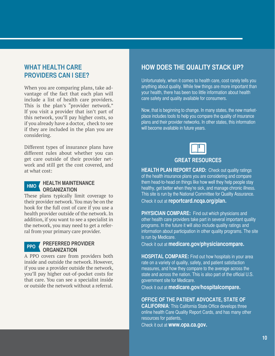#### **What Health Care Providers Can I See?**

When you are comparing plans, take advantage of the fact that each plan will include a list of health care providers. This is the plan's "provider network." If you visit a provider that isn't part of this network, you'll pay higher costs, so if you already have a doctor, check to see if they are included in the plan you are considering.

Different types of insurance plans have different rules about whether you can get care outside of their provider network and still get the cost covered, and at what cost:



#### **Health Maintenance Organization**

These plans typically limit coverage to their provider network. You may be on the hook for the full cost of care if you use a health provider outside of the network. In addition, if you want to see a specialist in the network, you may need to get a referral from your primary care provider.

#### **Preferred Provider Organization PPo**

A PPO covers care from providers both inside and outside the network. However, if you use a provider outside the network, you'll pay higher out-of-pocket costs for that care. You can see a specialist inside or outside the network without a referral.

#### **How Does the Quality Stack Up?**

Unfortunately, when it comes to health care, cost rarely tells you anything about quality. While few things are more important than your health, there has been too little information about health care safety and quality available for consumers.

Now, that is beginning to change. In many states, the new marketplace includes tools to help you compare the quality of insurance plans and their provider networks. In other states, this information will become available in future years.



**HEALTH PLAN REPORT CARD:** Check out quality ratings of the health insurance plans you are considering and compare them head-to-head on things like how well they help people stay healthy, get better when they're sick, and manage chronic illness. This site is run by the National Committee for Quality Assurance. Check it out at **reportcard.ncqa.org/plan.**

**PHYSICIAN COMPARE:** Find out which physicians and other health care providers take part in several important quality programs. In the future it will also include quality ratings and information about participation in other quality programs. The site is run by Medicare.

Check it out at **medicare.gov/physiciancompare.**

**HOSPITAL COMPARE:** Find out how hospitals in your area rate on a variety of quality, safety, and patient satisfaction measures, and how they compare to the average across the state and across the nation. This is also part of the official U.S. government site for Medicare.

Check it out at **medicare.gov/hospitalcompare.**

#### **Office of the Patient Advocate, State of**

**CALIFORNIA:** This California State Office develops three online health Care Quality Report Cards, and has many other resources for patients.

Check it out at **www.opa.ca.gov.**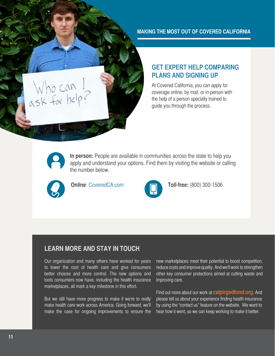**Making the most out of covered california**

#### **Get Expert Help Comparing Plans and Signing Up**

At Covered California, you can apply for coverage online, by mail, or in-person with the help of a person specially trained to guide you through the process.



Who can I<br>ask for help?

**In person:** People are available in communities across the state to help you apply and understand your options. Find them by visiting the website or calling the number below.





**Online**: CoveredCA.com **1999 Toll-free:** (800) 300-1506

#### **Learn more and stay in touch**

Our organization and many others have worked for years to lower the cost of health care and give consumers better choices and more control. The new options and tools consumers now have, including the health insurance marketplaces, all mark a key milestone in this effort.

But we still have more progress to make if we're to really make health care work across America. Going forward, we'll make the case for ongoing improvements to ensure the

new marketplaces meet their potential to boost competition, reduce costs and improve quality. And we'll work to strengthen other key consumer protections aimed at cutting waste and improving care.

Find out more about our work at **calpirgedfund.org**. And please tell us about your experience finding health insurance by using the "contact us" feature on the website. We want to hear how it went, so we can keep working to make it better.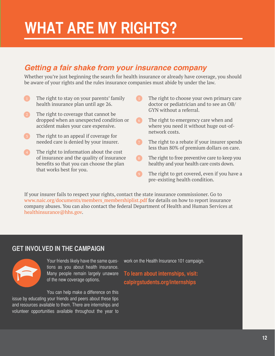### **What are my rights?**

#### *Getting a fair shake from your insurance company*

Whether you're just beginning the search for health insurance or already have coverage, you should be aware of your rights and the rules insurance companies must abide by under the law.

- **1** The right to stay on your parents' family health insurance plan until age 26.
- 2 The right to coverage that cannot be dropped when an unexpected condition or accident makes your care expensive.
- **3** The right to an appeal if coverage for needed care is denied by your insurer.
- **4** The right to information about the cost of insurance and the quality of insurance benefits so that you can choose the plan that works best for you.
- **5** The right to choose your own primary care doctor or pediatrician and to see an OB/ GYN without a referral.
- 6 The right to emergency care when and where you need it without huge out-ofnetwork costs.
- The right to a rebate if your insurer spends less than 80% of premium dollars on care.
- 8 The right to free preventive care to keep you healthy and your health care costs down.
- 9 The right to get covered, even if you have a pre-existing health condition.

If your insurer fails to respect your rights, contact the state insurance commissioner. Go to www.naic.org/documents/members\_membershiplist.pdf for details on how to report insurance company abuses. You can also contact the federal Department of Health and Human Services at healthinsurance@hhs.gov.

#### **Get involved in the campaign**



Your friends likely have the same questions as you about health insurance. Many people remain largely unaware of the new coverage options.

You can help make a difference on this issue by educating your friends and peers about these tips and resources available to them. There are internships and volunteer opportunities available throughout the year to work on the Health Insurance 101 campaign.

**To learn about internships, visit: calpirgstudents.org/internships**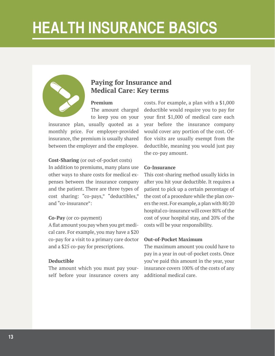### **Health Insurance Basics**



#### **Paying for Insurance and Medical Care: Key terms**

#### **Premium**

The amount charged to keep you on your

insurance plan, usually quoted as a monthly price. For employer-provided insurance, the premium is usually shared between the employer and the employee.

#### **Cost-Sharing** (or out-of-pocket costs)

In addition to premiums, many plans use other ways to share costs for medical expenses between the insurance company and the patient. There are three types of cost sharing: "co-pays," "deductibles," and "co-insurance":

#### **Co-Pay** (or co-payment)

A flat amount you pay when you get medical care. For example, you may have a \$20 co-pay for a visit to a primary care doctor and a \$25 co-pay for prescriptions.

#### **Deductible**

The amount which you must pay yourself before your insurance covers any costs. For example, a plan with a \$1,000 deductible would require you to pay for your first \$1,000 of medical care each year before the insurance company would cover any portion of the cost. Office visits are usually exempt from the deductible, meaning you would just pay the co-pay amount.

#### **Co-Insurance**

This cost-sharing method usually kicks in after you hit your deductible. It requires a patient to pick up a certain percentage of the cost of a procedure while the plan covers the rest. For example, a plan with 80/20 hospital co-insurance will cover 80% of the cost of your hospital stay, and 20% of the costs will be your responsibility.

#### **Out-of-Pocket Maximum**

The maximum amount you could have to pay in a year in out-of-pocket costs. Once you've paid this amount in the year, your insurance covers 100% of the costs of any additional medical care.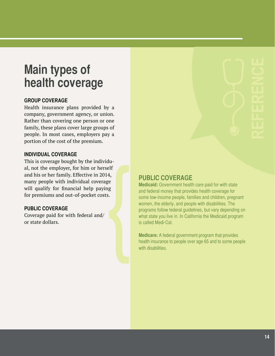### **Main types of health coverage**

#### **Group Coverage**

Health insurance plans provided by a company, government agency, or union. Rather than covering one person or one family, these plans cover large groups of people. In most cases, employers pay a portion of the cost of the premium.

#### **Individual Coverage**

This is coverage bought by the individual, not the employer, for him or herself and his or her family. Effective in 2014, many people with individual coverage will qualify for financial help paying for premiums and out-of-pocket costs.

#### **Public Coverage**

Coverage paid for with federal and/ or state dollars.

#### **public coverage**

**Medicaid:** Government health care paid for with state and federal money that provides health coverage for some low-income people, families and children, pregnant women, the elderly, and people with disabilities. The programs follow federal guidelines, but vary depending on what state you live in. In California the Medicaid program is called Medi-Cal.

**Medicare:** A federal government program that provides health insurance to people over age 65 and to some people with disabilities.